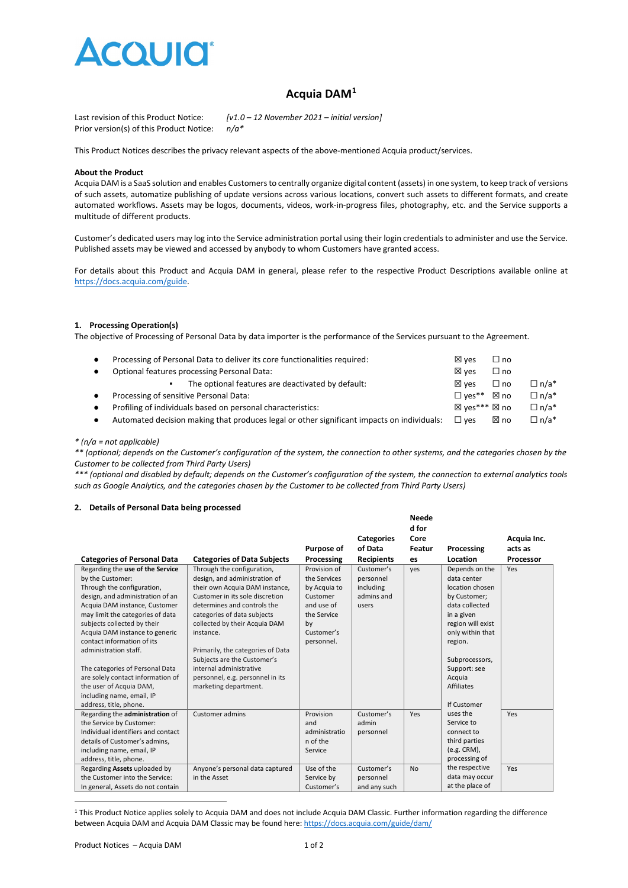

# **Acquia DAM[1](#page-0-0)**

Last revision of this Product Notice: *[v1.0 – 12 November 2021 – initial version]*<br>Prior version(s) of this Product Notice:  $n/a^*$ Prior version(s) of this Product Notice:

This Product Notices describes the privacy relevant aspects of the above-mentioned Acquia product/services.

### **About the Product**

Acquia DAM is a SaaS solution and enables Customers to centrally organize digital content (assets) in one system, to keep track of versions of such assets, automatize publishing of update versions across various locations, convert such assets to different formats, and create automated workflows. Assets may be logos, documents, videos, work-in-progress files, photography, etc. and the Service supports a multitude of different products.

Customer's dedicated users may log into the Service administration portal using their login credentials to administer and use the Service. Published assets may be viewed and accessed by anybody to whom Customers have granted access.

For details about this Product and Acquia DAM in general, please refer to the respective Product Descriptions available online at [https://docs.acquia.com/guide.](https://docs.acquia.com/guide)

### **1. Processing Operation(s)**

The objective of Processing of Personal Data by data importer is the performance of the Services pursuant to the Agreement.

| $\bullet$ | Processing of Personal Data to deliver its core functionalities required:                  | ⊠ ves                    | $\square$ no |             |
|-----------|--------------------------------------------------------------------------------------------|--------------------------|--------------|-------------|
| $\bullet$ | Optional features processing Personal Data:                                                | $\boxtimes$ ves          | $\Box$ no    |             |
|           | The optional features are deactivated by default:<br>٠                                     | ⊠ ves                    | $\square$ no | $\Box$ n/a* |
| $\bullet$ | Processing of sensitive Personal Data:                                                     | $\Box$ ves <sup>**</sup> | ⊠ no         | $\Box$ n/a* |
| $\bullet$ | Profiling of individuals based on personal characteristics:                                | ⊠ ves*** ⊠ no            |              | $\Box$ n/a* |
| $\bullet$ | Automated decision making that produces legal or other significant impacts on individuals: | $\square$ ves            | ⊠ no         | $\Box$ n/a* |
|           |                                                                                            |                          |              |             |

### *\* (n/a = not applicable)*

*\*\* (optional; depends on the Customer's configuration of the system, the connection to other systems, and the categories chosen by the Customer to be collected from Third Party Users)*

*\*\*\* (optional and disabled by default; depends on the Customer's configuration of the system, the connection to external analytics tools such as Google Analytics, and the categories chosen by the Customer to be collected from Third Party Users)*

# **2. Details of Personal Data being processed**

|                                    |                                    |               |                   | <b>Neede</b><br>d for |                   |             |
|------------------------------------|------------------------------------|---------------|-------------------|-----------------------|-------------------|-------------|
|                                    |                                    |               | <b>Categories</b> | Core                  |                   | Acquia Inc. |
|                                    |                                    | Purpose of    | of Data           | Featur                | Processing        | acts as     |
| <b>Categories of Personal Data</b> | <b>Categories of Data Subjects</b> | Processing    | <b>Recipients</b> | es                    | Location          | Processor   |
| Regarding the use of the Service   | Through the configuration,         | Provision of  | Customer's        | ves                   | Depends on the    | Yes         |
| by the Customer:                   | design, and administration of      | the Services  | personnel         |                       | data center       |             |
| Through the configuration,         | their own Acquia DAM instance,     | by Acquia to  | including         |                       | location chosen   |             |
| design, and administration of an   | Customer in its sole discretion    | Customer      | admins and        |                       | by Customer;      |             |
| Acquia DAM instance, Customer      | determines and controls the        | and use of    | users             |                       | data collected    |             |
| may limit the categories of data   | categories of data subjects        | the Service   |                   |                       | in a given        |             |
| subjects collected by their        | collected by their Acquia DAM      | by            |                   |                       | region will exist |             |
| Acquia DAM instance to generic     | instance.                          | Customer's    |                   |                       | only within that  |             |
| contact information of its         |                                    | personnel.    |                   |                       | region.           |             |
| administration staff.              | Primarily, the categories of Data  |               |                   |                       |                   |             |
|                                    | Subjects are the Customer's        |               |                   |                       | Subprocessors,    |             |
| The categories of Personal Data    | internal administrative            |               |                   |                       | Support: see      |             |
| are solely contact information of  | personnel, e.g. personnel in its   |               |                   |                       | Acquia            |             |
| the user of Acquia DAM,            | marketing department.              |               |                   |                       | <b>Affiliates</b> |             |
| including name, email, IP          |                                    |               |                   |                       |                   |             |
| address, title, phone.             |                                    |               |                   |                       | If Customer       |             |
| Regarding the administration of    | <b>Customer admins</b>             | Provision     | Customer's        | Yes                   | uses the          | Yes         |
| the Service by Customer:           |                                    | and           | admin             |                       | Service to        |             |
| Individual identifiers and contact |                                    | administratio | personnel         |                       | connect to        |             |
| details of Customer's admins,      |                                    | n of the      |                   |                       | third parties     |             |
| including name, email, IP          |                                    | Service       |                   |                       | $(e.g. CRM)$ ,    |             |
| address, title, phone.             |                                    |               |                   |                       | processing of     |             |
| Regarding Assets uploaded by       | Anyone's personal data captured    | Use of the    | Customer's        | <b>No</b>             | the respective    | Yes         |
| the Customer into the Service:     | in the Asset                       | Service by    | personnel         |                       | data may occur    |             |
| In general, Assets do not contain  |                                    | Customer's    | and any such      |                       | at the place of   |             |

<span id="page-0-0"></span><sup>&</sup>lt;sup>1</sup> This Product Notice applies solely to Acquia DAM and does not include Acquia DAM Classic. Further information regarding the difference between Acquia DAM and Acquia DAM Classic may be found here[: https://docs.acquia.com/guide/dam/](https://docs.acquia.com/guide/dam/)